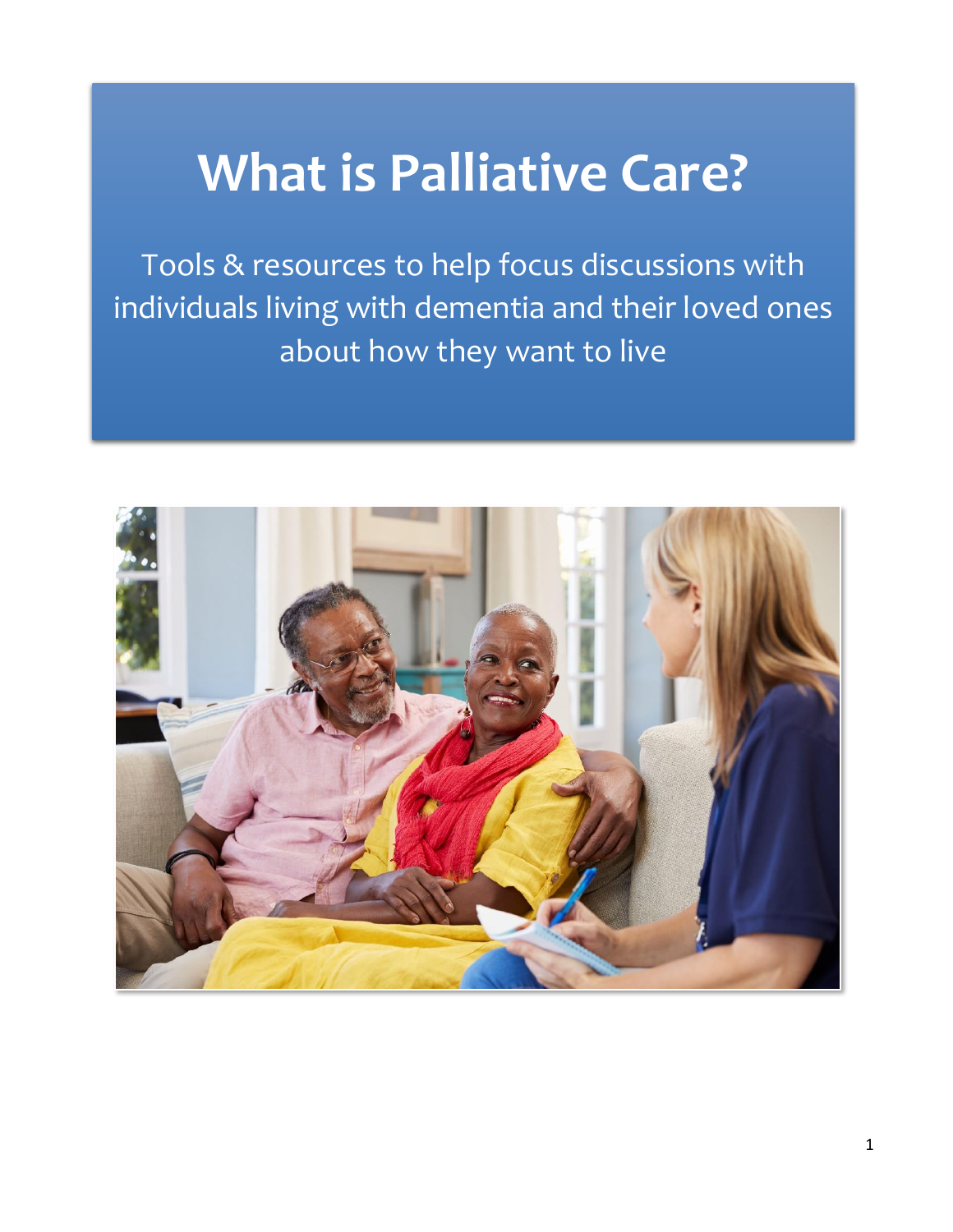# **What is Palliative Care?**

Tools & resources to help focus discussions with individuals living with dementia and their loved ones about how they want to live

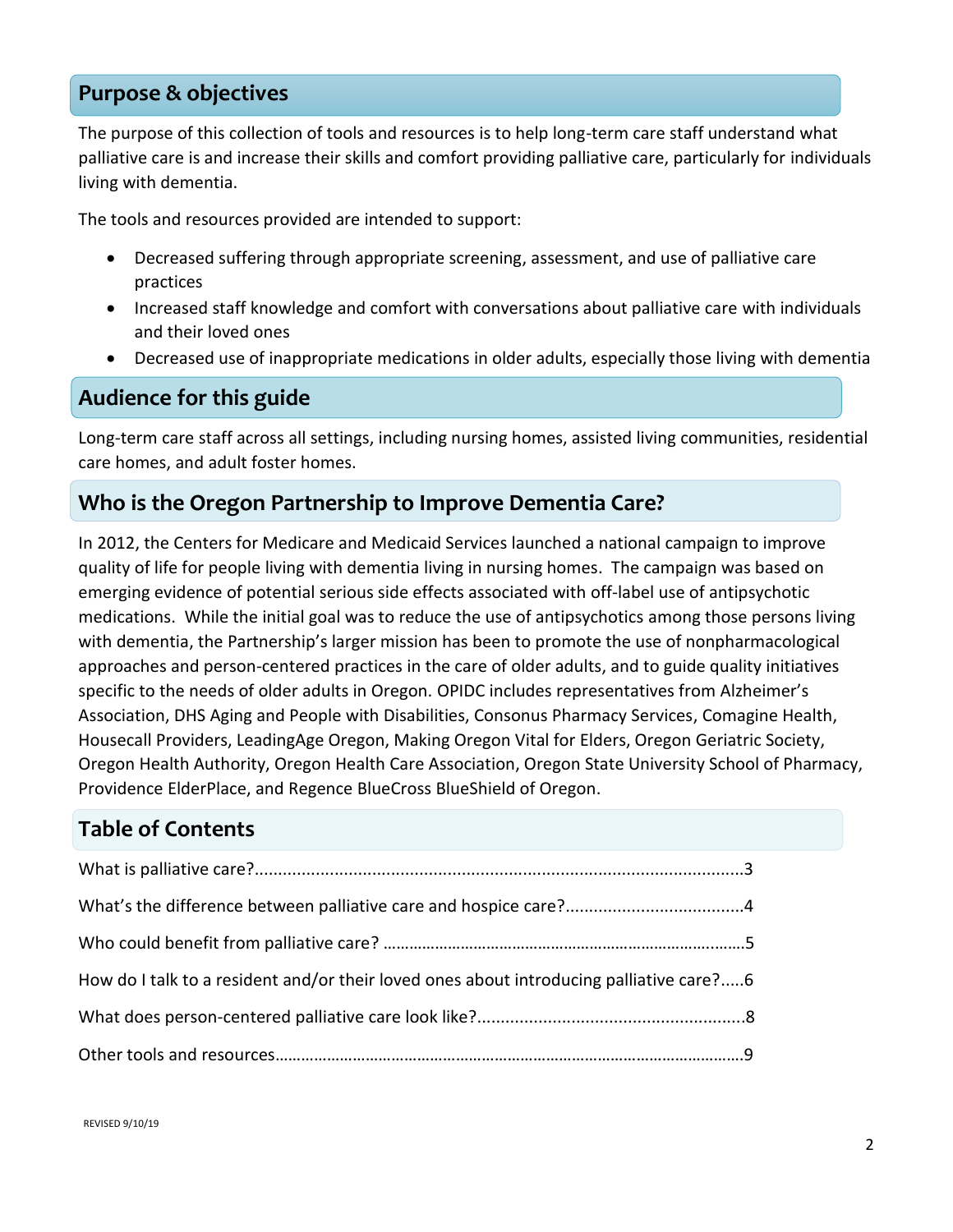### **Purpose & objectives**

The purpose of this collection of tools and resources is to help long-term care staff understand what palliative care is and increase their skills and comfort providing palliative care, particularly for individuals living with dementia.

The tools and resources provided are intended to support:

- Decreased suffering through appropriate screening, assessment, and use of palliative care practices
- Increased staff knowledge and comfort with conversations about palliative care with individuals and their loved ones
- Decreased use of inappropriate medications in older adults, especially those living with dementia

### **Audience for this guide**

Long-term care staff across all settings, including nursing homes, assisted living communities, residential care homes, and adult foster homes.

### **Who is the Oregon Partnership to Improve Dementia Care?**

In 2012, the Centers for Medicare and Medicaid Services launched a national campaign to improve quality of life for people living with dementia living in nursing homes. The campaign was based on emerging evidence of potential serious side effects associated with off-label use of antipsychotic medications. While the initial goal was to reduce the use of antipsychotics among those persons living with dementia, the Partnership's larger mission has been to promote the use of nonpharmacological approaches and person-centered practices in the care of older adults, and to guide quality initiatives specific to the needs of older adults in Oregon. OPIDC includes representatives from Alzheimer's Association, DHS Aging and People with Disabilities, Consonus Pharmacy Services, Comagine Health, Housecall Providers, LeadingAge Oregon, Making Oregon Vital for Elders, Oregon Geriatric Society, Oregon Health Authority, Oregon Health Care Association, Oregon State University School of Pharmacy, Providence ElderPlace, and Regence BlueCross BlueShield of Oregon.

### **Table of Contents**

| How do I talk to a resident and/or their loved ones about introducing palliative care?6 |  |
|-----------------------------------------------------------------------------------------|--|
|                                                                                         |  |
|                                                                                         |  |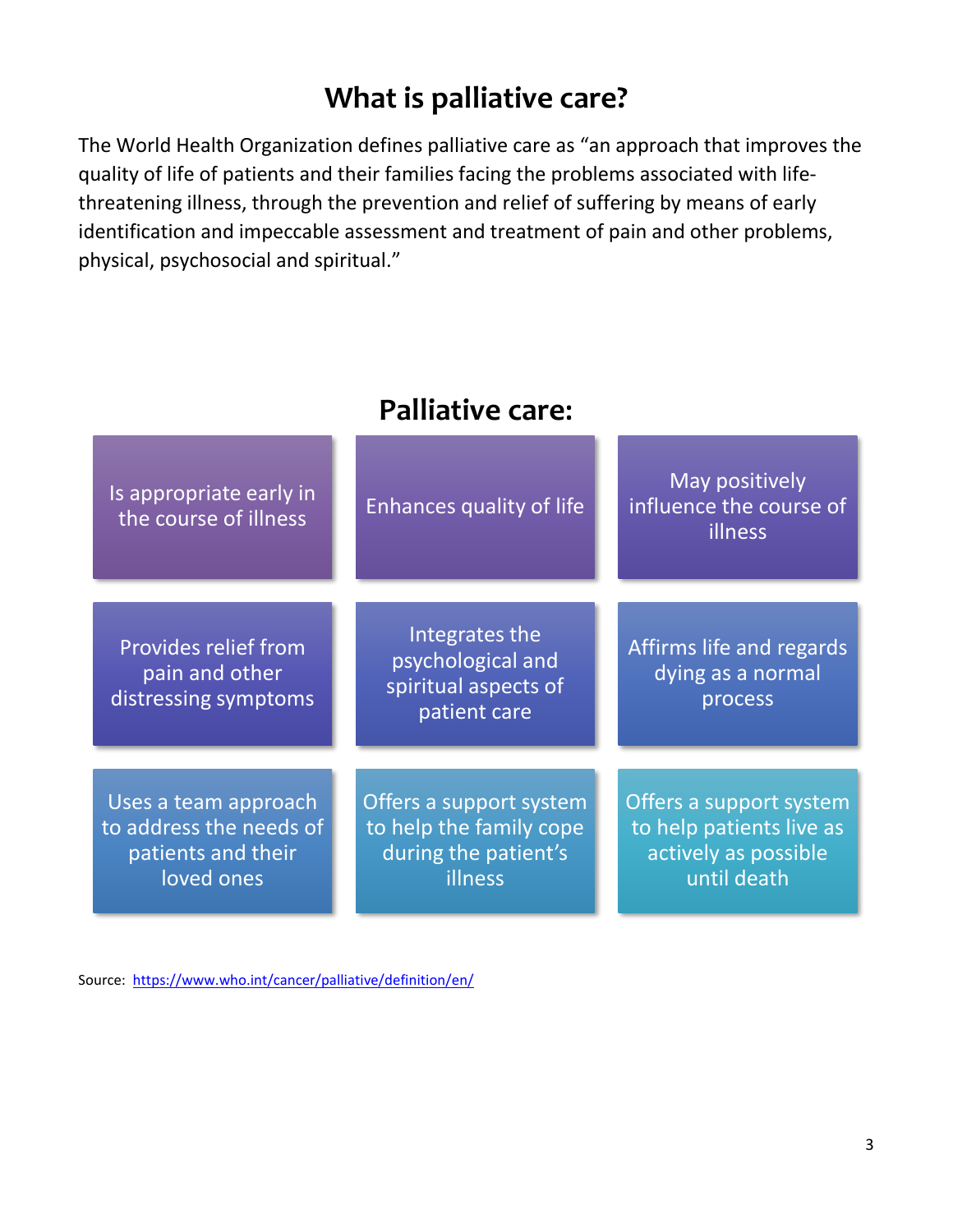# **What is palliative care?**

The World Health Organization defines palliative care as "an approach that improves the quality of life of patients and their families facing the problems associated with lifethreatening illness, through the prevention and relief of suffering by means of early identification and impeccable assessment and treatment of pain and other problems, physical, psychosocial and spiritual."

| Is appropriate early in<br>the course of illness                                    | Enhances quality of life                                                              | May positively<br>influence the course of<br>illness                                       |
|-------------------------------------------------------------------------------------|---------------------------------------------------------------------------------------|--------------------------------------------------------------------------------------------|
| <b>Provides relief from</b><br>pain and other<br>distressing symptoms               | Integrates the<br>psychological and<br>spiritual aspects of<br>patient care           | Affirms life and regards<br>dying as a normal<br>process                                   |
| Uses a team approach<br>to address the needs of<br>patients and their<br>loved ones | Offers a support system<br>to help the family cope<br>during the patient's<br>illness | Offers a support system<br>to help patients live as<br>actively as possible<br>until death |

# **Palliative care:**

Source:<https://www.who.int/cancer/palliative/definition/en/>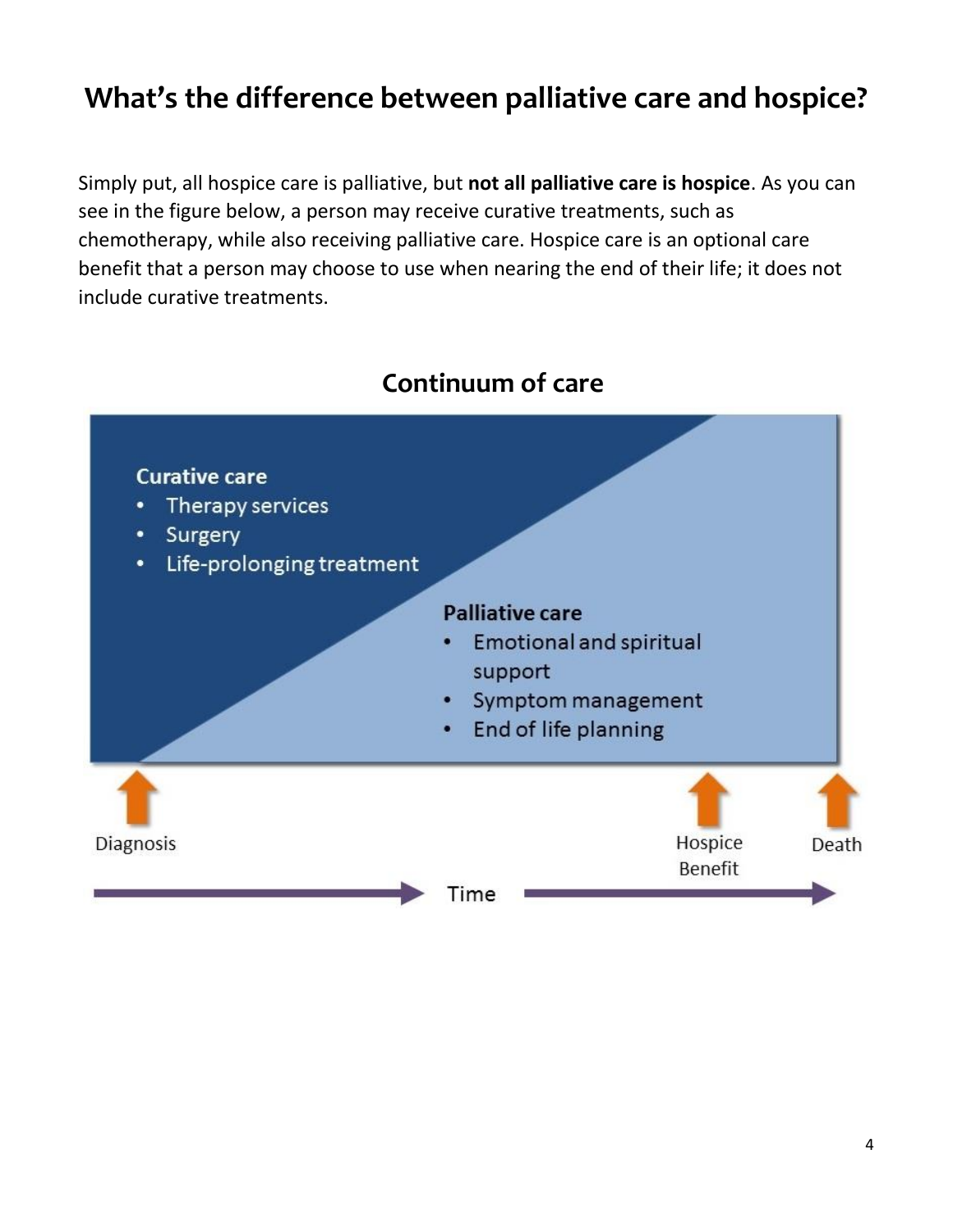# **What's the difference between palliative care and hospice?**

Simply put, all hospice care is palliative, but **not all palliative care is hospice**. As you can see in the figure below, a person may receive curative treatments, such as chemotherapy, while also receiving palliative care. Hospice care is an optional care benefit that a person may choose to use when nearing the end of their life; it does not include curative treatments.



# **Continuum of care**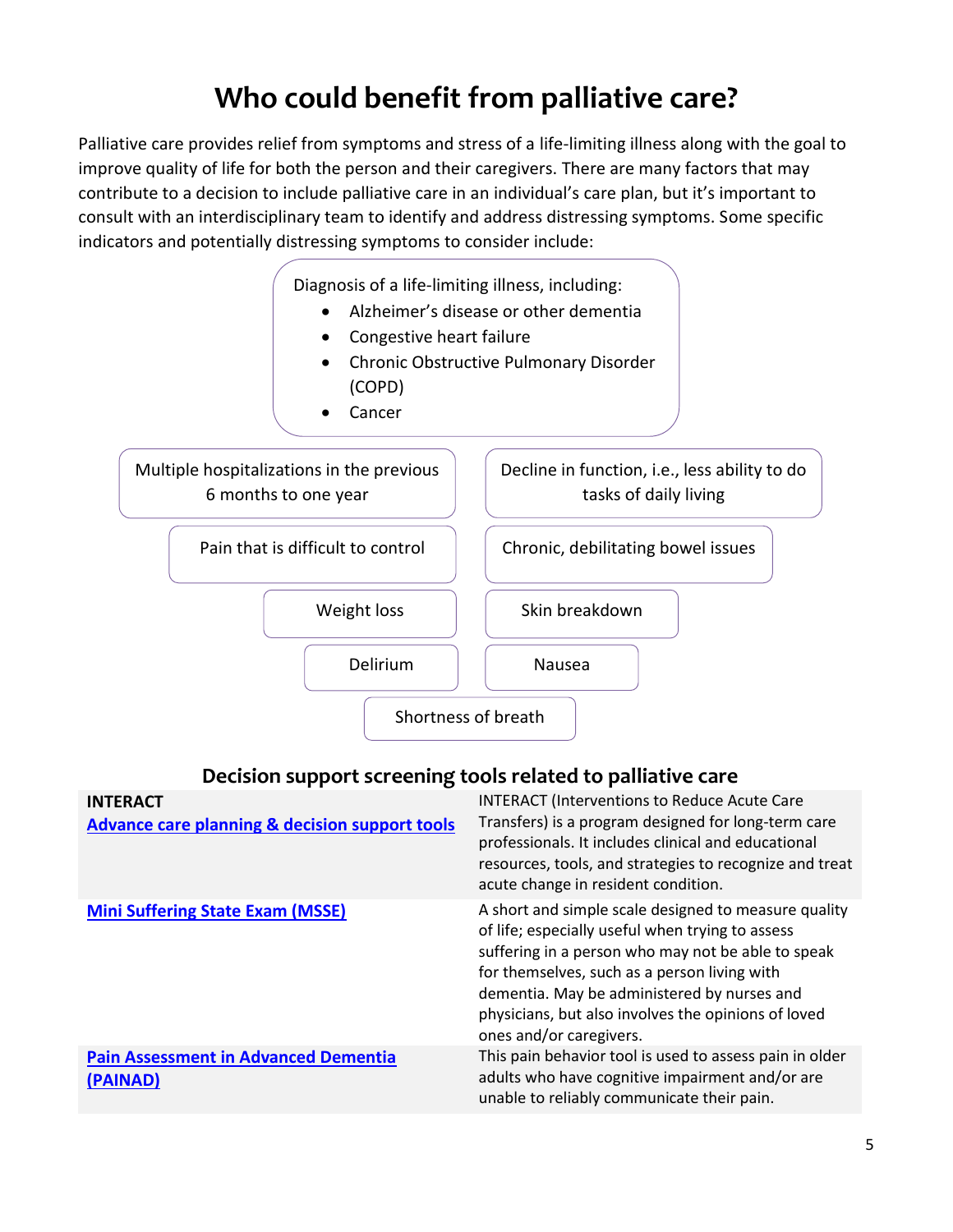# **Who could benefit from palliative care?**

Palliative care provides relief from symptoms and stress of a life-limiting illness along with the goal to improve quality of life for both the person and their caregivers. There are many factors that may contribute to a decision to include palliative care in an individual's care plan, but it's important to consult with an interdisciplinary team to identify and address distressing symptoms. Some specific indicators and potentially distressing symptoms to consider include:



### **Decision support screening tools related to palliative care**

| <b>INTERACT</b><br><b>Advance care planning &amp; decision support tools</b> | <b>INTERACT (Interventions to Reduce Acute Care</b><br>Transfers) is a program designed for long-term care<br>professionals. It includes clinical and educational<br>resources, tools, and strategies to recognize and treat<br>acute change in resident condition.                                                                             |
|------------------------------------------------------------------------------|-------------------------------------------------------------------------------------------------------------------------------------------------------------------------------------------------------------------------------------------------------------------------------------------------------------------------------------------------|
| <b>Mini Suffering State Exam (MSSE)</b>                                      | A short and simple scale designed to measure quality<br>of life; especially useful when trying to assess<br>suffering in a person who may not be able to speak<br>for themselves, such as a person living with<br>dementia. May be administered by nurses and<br>physicians, but also involves the opinions of loved<br>ones and/or caregivers. |
| <b>Pain Assessment in Advanced Dementia</b><br>(PAINAD)                      | This pain behavior tool is used to assess pain in older<br>adults who have cognitive impairment and/or are<br>unable to reliably communicate their pain.                                                                                                                                                                                        |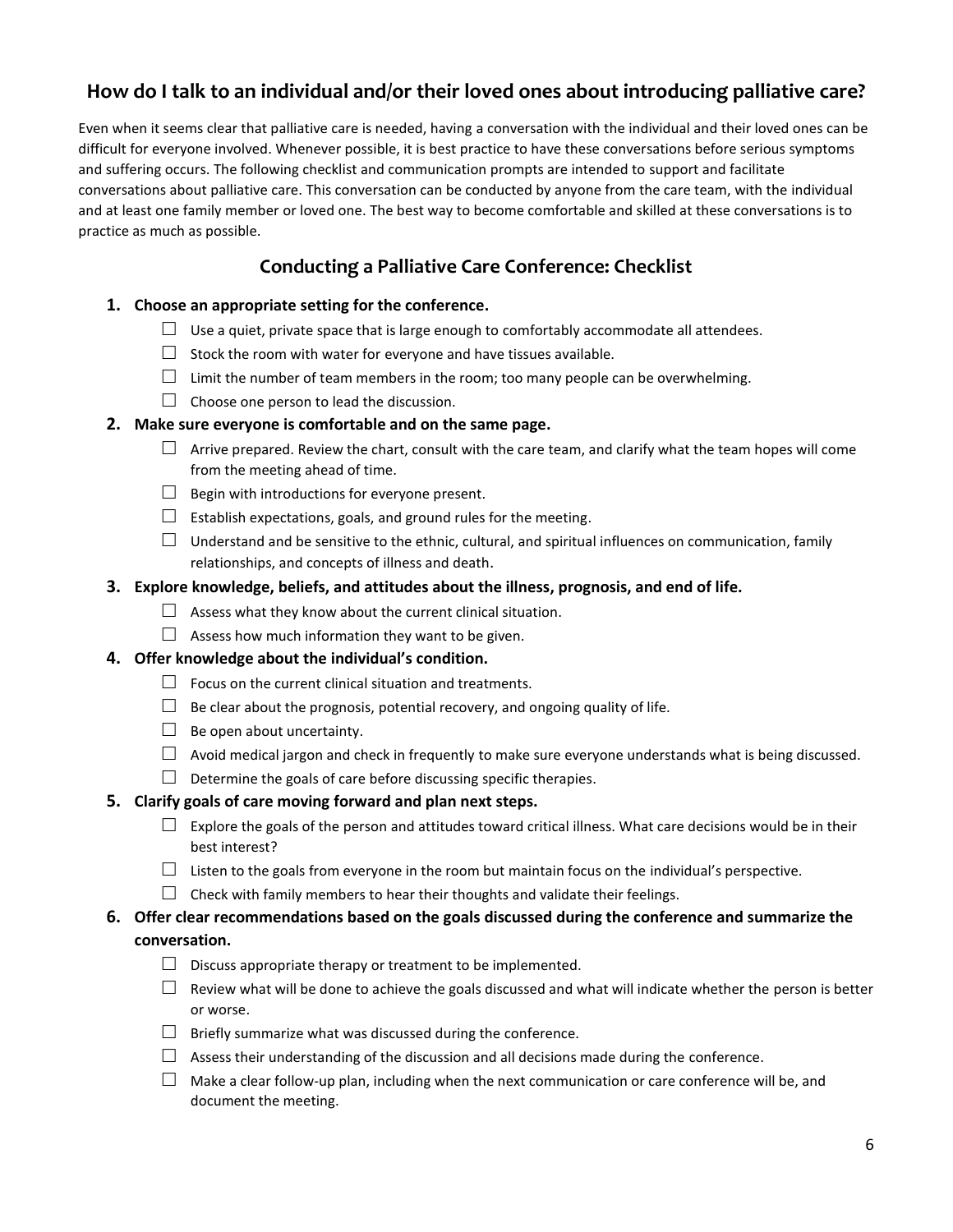### **How do I talk to an individual and/or their loved ones about introducing palliative care?**

Even when it seems clear that palliative care is needed, having a conversation with the individual and their loved ones can be difficult for everyone involved. Whenever possible, it is best practice to have these conversations before serious symptoms and suffering occurs. The following checklist and communication prompts are intended to support and facilitate conversations about palliative care. This conversation can be conducted by anyone from the care team, with the individual and at least one family member or loved one. The best way to become comfortable and skilled at these conversations is to practice as much as possible.

### **Conducting a Palliative Care Conference: Checklist**

- **1. Choose an appropriate setting for the conference.**
	- $\Box$  Use a quiet, private space that is large enough to comfortably accommodate all attendees.
	- $\Box$  Stock the room with water for everyone and have tissues available.
	- $\square$  Limit the number of team members in the room; too many people can be overwhelming.
	- $\Box$  Choose one person to lead the discussion.

#### **2. Make sure everyone is comfortable and on the same page.**

- $\Box$  Arrive prepared. Review the chart, consult with the care team, and clarify what the team hopes will come from the meeting ahead of time.
- $\Box$  Begin with introductions for everyone present.
- $\Box$  Establish expectations, goals, and ground rules for the meeting.
- $\Box$  Understand and be sensitive to the ethnic, cultural, and spiritual influences on communication, family relationships, and concepts of illness and death.

#### **3. Explore knowledge, beliefs, and attitudes about the illness, prognosis, and end of life.**

- $\Box$  Assess what they know about the current clinical situation.
- $\Box$  Assess how much information they want to be given.

#### **4. Offer knowledge about the individual's condition.**

- $\Box$  Focus on the current clinical situation and treatments.
- $\Box$  Be clear about the prognosis, potential recovery, and ongoing quality of life.
- $\Box$  Be open about uncertainty.
- $\Box$  Avoid medical jargon and check in frequently to make sure everyone understands what is being discussed.
- $\Box$  Determine the goals of care before discussing specific therapies.

#### **5. Clarify goals of care moving forward and plan next steps.**

- $\Box$  Explore the goals of the person and attitudes toward critical illness. What care decisions would be in their best interest?
- $\Box$  Listen to the goals from everyone in the room but maintain focus on the individual's perspective.
- $\Box$  Check with family members to hear their thoughts and validate their feelings.

#### **6. Offer clear recommendations based on the goals discussed during the conference and summarize the conversation.**

- $\Box$  Discuss appropriate therapy or treatment to be implemented.
- $\Box$  Review what will be done to achieve the goals discussed and what will indicate whether the person is better or worse.
- $\Box$  Briefly summarize what was discussed during the conference.
- $\Box$  Assess their understanding of the discussion and all decisions made during the conference.
- $\Box$  Make a clear follow-up plan, including when the next communication or care conference will be, and document the meeting.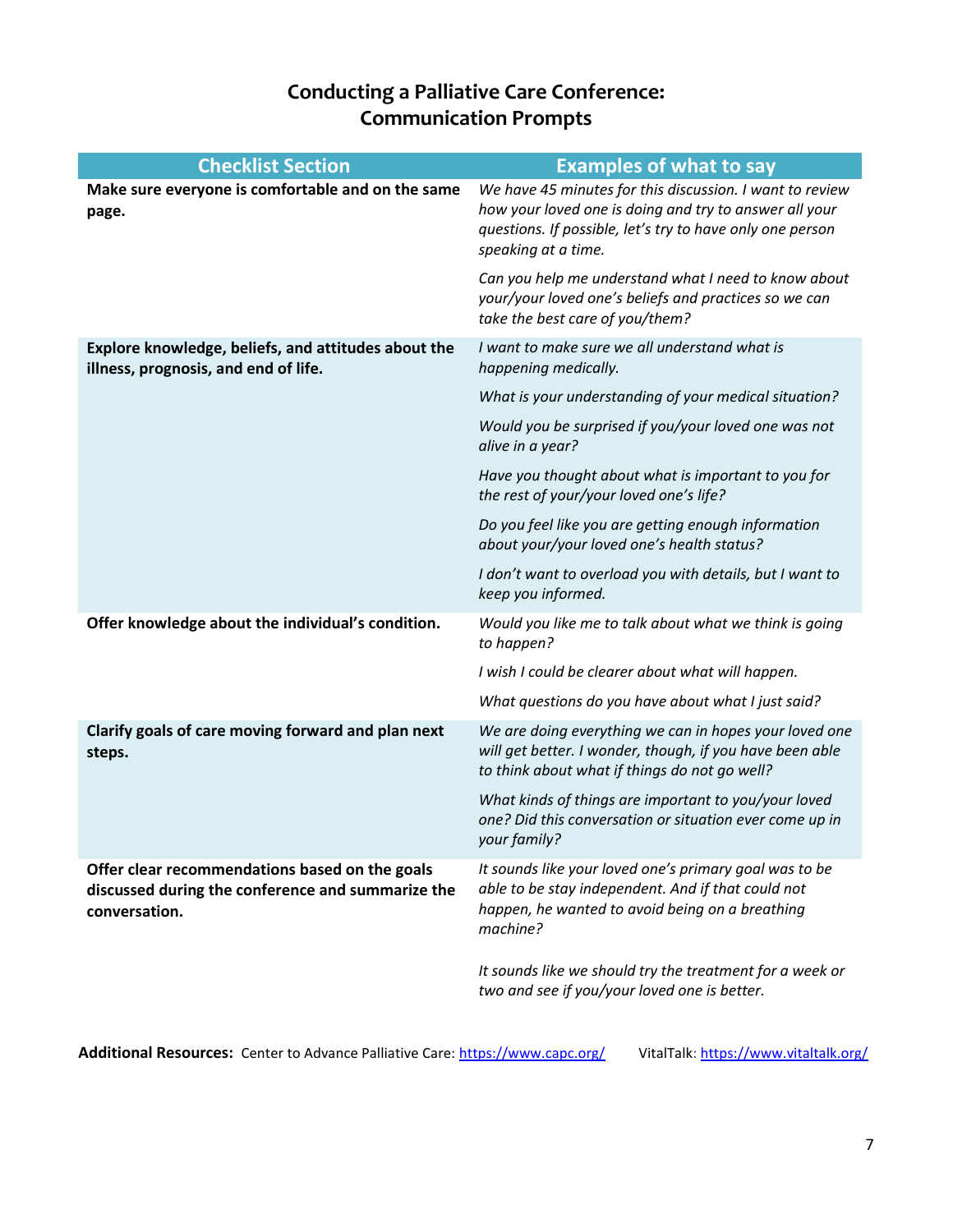## **Conducting a Palliative Care Conference: Communication Prompts**

| <b>Checklist Section</b>                                                                                             | <b>Examples of what to say</b>                                                                                                                                                                         |
|----------------------------------------------------------------------------------------------------------------------|--------------------------------------------------------------------------------------------------------------------------------------------------------------------------------------------------------|
| Make sure everyone is comfortable and on the same<br>page.                                                           | We have 45 minutes for this discussion. I want to review<br>how your loved one is doing and try to answer all your<br>questions. If possible, let's try to have only one person<br>speaking at a time. |
|                                                                                                                      | Can you help me understand what I need to know about<br>your/your loved one's beliefs and practices so we can<br>take the best care of you/them?                                                       |
| Explore knowledge, beliefs, and attitudes about the<br>illness, prognosis, and end of life.                          | I want to make sure we all understand what is<br>happening medically.                                                                                                                                  |
|                                                                                                                      | What is your understanding of your medical situation?                                                                                                                                                  |
|                                                                                                                      | Would you be surprised if you/your loved one was not<br>alive in a year?                                                                                                                               |
|                                                                                                                      | Have you thought about what is important to you for<br>the rest of your/your loved one's life?                                                                                                         |
|                                                                                                                      | Do you feel like you are getting enough information<br>about your/your loved one's health status?                                                                                                      |
|                                                                                                                      | I don't want to overload you with details, but I want to<br>keep you informed.                                                                                                                         |
| Offer knowledge about the individual's condition.                                                                    | Would you like me to talk about what we think is going<br>to happen?                                                                                                                                   |
|                                                                                                                      | I wish I could be clearer about what will happen.                                                                                                                                                      |
|                                                                                                                      | What questions do you have about what I just said?                                                                                                                                                     |
| Clarify goals of care moving forward and plan next<br>steps.                                                         | We are doing everything we can in hopes your loved one<br>will get better. I wonder, though, if you have been able<br>to think about what if things do not go well?                                    |
|                                                                                                                      | What kinds of things are important to you/your loved<br>one? Did this conversation or situation ever come up in<br>your family?                                                                        |
| Offer clear recommendations based on the goals<br>discussed during the conference and summarize the<br>conversation. | It sounds like your loved one's primary goal was to be<br>able to be stay independent. And if that could not<br>happen, he wanted to avoid being on a breathing<br>machine?                            |
|                                                                                                                      | It sounds like we should try the treatment for a week or<br>two and see if you/your loved one is better.                                                                                               |

Additional Resources: Center to Advance Palliative Care: [https://www.capc.org/](https://protect-us.mimecast.com/s/Rl-4C9rXE6TOMY1Ho5rnn?domain=capc.org) VitalTalk: [https://www.vitaltalk.org/](https://protect-us.mimecast.com/s/CKzpC0R3rqcyMr8HDiUh9?domain=vitaltalk.org)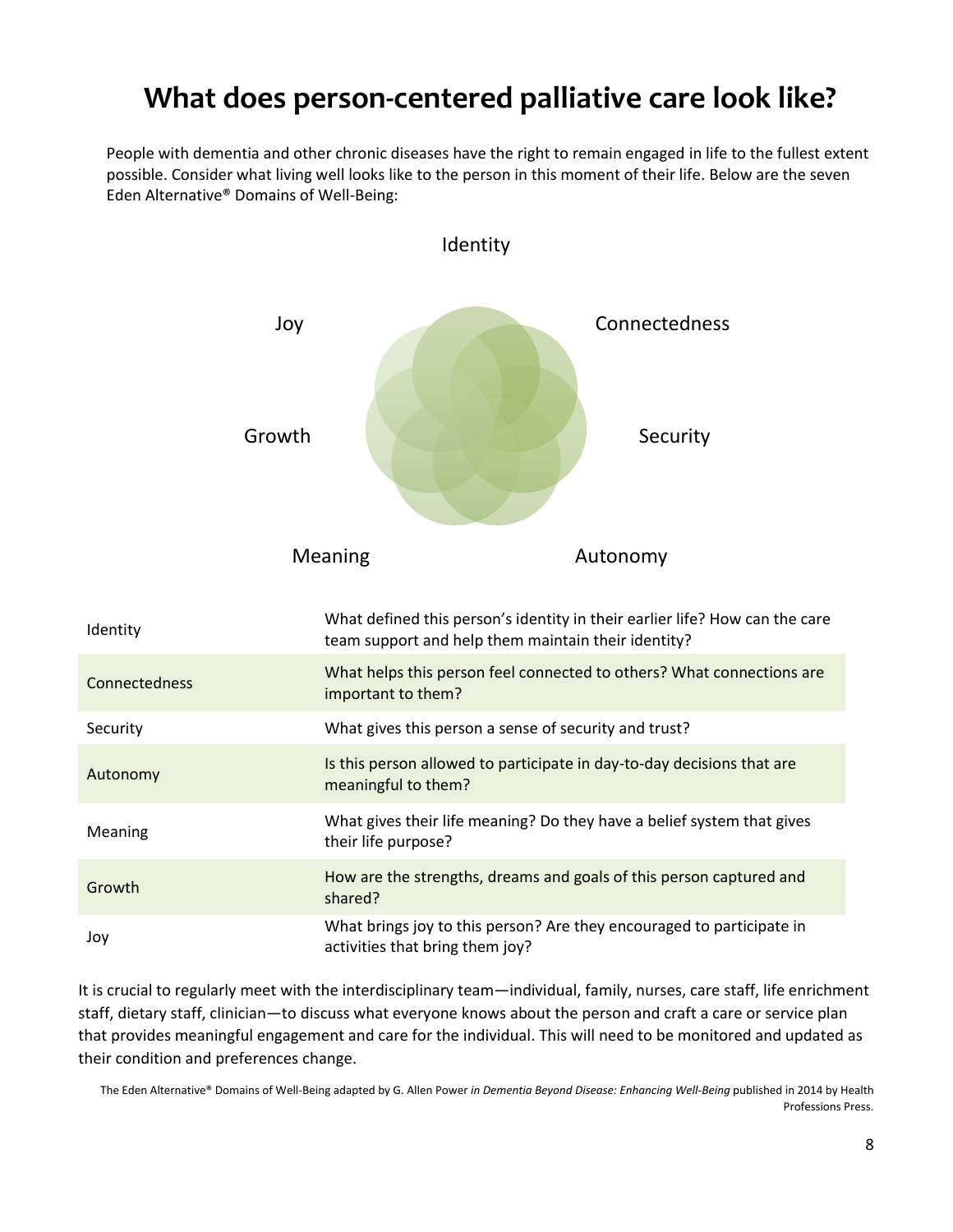# **What does person-centered palliative care look like?**

People with dementia and other chronic diseases have the right to remain engaged in life to the fullest extent possible. Consider what living well looks like to the person in this moment of their life. Below are the seven Eden Alternative® Domains of Well-Being:



It is crucial to regularly meet with the interdisciplinary team—individual, family, nurses, care staff, life enrichment staff, dietary staff, clinician—to discuss what everyone knows about the person and craft a care or service plan that provides meaningful engagement and care for the individual. This will need to be monitored and updated as their condition and preferences change.

The Eden Alternative® Domains of Well-Being adapted by G. Allen Power *in Dementia Beyond Disease: Enhancing Well-Being* published in 2014 by Health Professions Press.